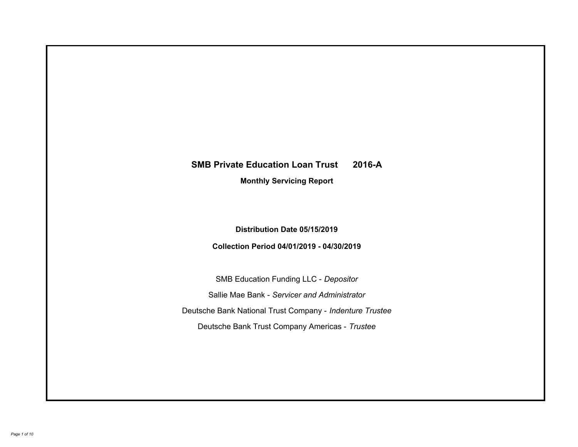# **SMB Private Education Loan Trust 2016-A Monthly Servicing Report**

# **Distribution Date 05/15/2019**

# **Collection Period 04/01/2019 - 04/30/2019**

SMB Education Funding LLC - *Depositor* Sallie Mae Bank - *Servicer and Administrator* Deutsche Bank National Trust Company - *Indenture Trustee* Deutsche Bank Trust Company Americas - *Trustee*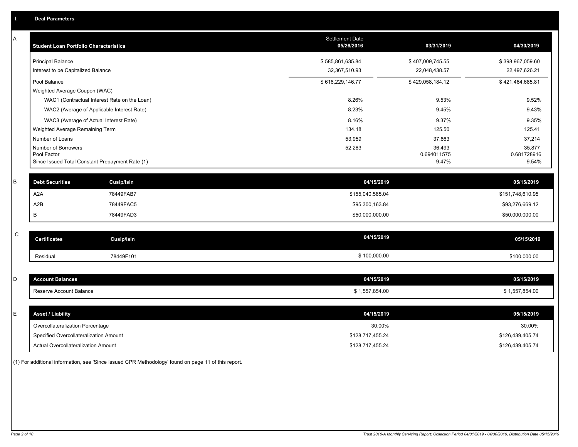| Α           | <b>Student Loan Portfolio Characteristics</b>                  |                                              | <b>Settlement Date</b><br>05/26/2016 | 03/31/2019           | 04/30/2019           |
|-------------|----------------------------------------------------------------|----------------------------------------------|--------------------------------------|----------------------|----------------------|
|             | Principal Balance                                              |                                              | \$585,861,635.84                     | \$407,009,745.55     | \$398,967,059.60     |
|             | Interest to be Capitalized Balance                             |                                              | 32,367,510.93                        | 22,048,438.57        | 22,497,626.21        |
|             | Pool Balance                                                   |                                              | \$618,229,146.77                     | \$429,058,184.12     | \$421,464,685.81     |
|             | Weighted Average Coupon (WAC)                                  |                                              |                                      |                      |                      |
|             |                                                                | WAC1 (Contractual Interest Rate on the Loan) | 8.26%                                | 9.53%                | 9.52%                |
|             |                                                                | WAC2 (Average of Applicable Interest Rate)   | 8.23%                                | 9.45%                | 9.43%                |
|             | WAC3 (Average of Actual Interest Rate)                         |                                              | 8.16%                                | 9.37%                | 9.35%                |
|             | Weighted Average Remaining Term                                |                                              | 134.18                               | 125.50               | 125.41               |
|             | Number of Loans                                                |                                              | 53,959                               | 37,863               | 37,214               |
|             | Number of Borrowers                                            |                                              | 52,283                               | 36,493               | 35,877               |
|             | Pool Factor<br>Since Issued Total Constant Prepayment Rate (1) |                                              |                                      | 0.694011575<br>9.47% | 0.681728916<br>9.54% |
|             |                                                                |                                              |                                      |                      |                      |
| B           | <b>Debt Securities</b>                                         | <b>Cusip/Isin</b>                            | 04/15/2019                           |                      | 05/15/2019           |
|             | A <sub>2</sub> A                                               | 78449FAB7                                    | \$155,040,565.04                     |                      | \$151,748,610.95     |
|             | A <sub>2</sub> B                                               | 78449FAC5                                    | \$95,300,163.84                      |                      | \$93,276,669.12      |
|             | B                                                              | 78449FAD3                                    | \$50,000,000.00                      |                      | \$50,000,000.00      |
|             |                                                                |                                              |                                      |                      |                      |
| $\mathsf C$ | <b>Certificates</b>                                            | <b>Cusip/Isin</b>                            | 04/15/2019                           |                      | 05/15/2019           |
|             | Residual                                                       | 78449F101                                    | \$100,000.00                         |                      | \$100,000.00         |
|             |                                                                |                                              |                                      |                      |                      |
| D           | <b>Account Balances</b>                                        |                                              | 04/15/2019                           |                      | 05/15/2019           |
|             | Reserve Account Balance                                        |                                              | \$1,557,854.00                       |                      | \$1,557,854.00       |
|             |                                                                |                                              |                                      |                      |                      |
| Е           | <b>Asset / Liability</b>                                       |                                              | 04/15/2019                           |                      | 05/15/2019           |
|             | Overcollateralization Percentage                               |                                              | 30.00%                               |                      | 30.00%               |
|             | Specified Overcollateralization Amount                         |                                              | \$128,717,455.24                     |                      | \$126,439,405.74     |
|             | Actual Overcollateralization Amount                            |                                              | \$128,717,455.24                     |                      | \$126,439,405.74     |

(1) For additional information, see 'Since Issued CPR Methodology' found on page 11 of this report.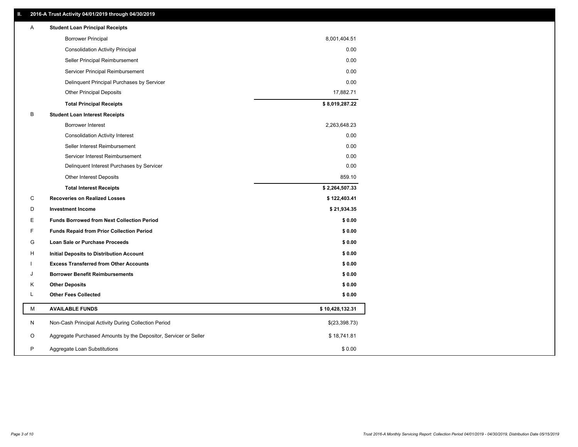# **II. 2016-A Trust Activity 04/01/2019 through 04/30/2019**

| <b>Borrower Principal</b><br>8,001,404.51<br><b>Consolidation Activity Principal</b> | 0.00   |
|--------------------------------------------------------------------------------------|--------|
|                                                                                      |        |
|                                                                                      |        |
| Seller Principal Reimbursement                                                       | 0.00   |
| Servicer Principal Reimbursement                                                     | 0.00   |
| Delinquent Principal Purchases by Servicer                                           | 0.00   |
| <b>Other Principal Deposits</b><br>17,882.71                                         |        |
| \$8,019,287.22<br><b>Total Principal Receipts</b>                                    |        |
| B<br><b>Student Loan Interest Receipts</b>                                           |        |
| Borrower Interest<br>2,263,648.23                                                    |        |
| <b>Consolidation Activity Interest</b>                                               | 0.00   |
| Seller Interest Reimbursement                                                        | 0.00   |
| Servicer Interest Reimbursement                                                      | 0.00   |
| Delinquent Interest Purchases by Servicer                                            | 0.00   |
| <b>Other Interest Deposits</b>                                                       | 859.10 |
| \$2,264,507.33<br><b>Total Interest Receipts</b>                                     |        |
| C<br><b>Recoveries on Realized Losses</b><br>\$122,403.41                            |        |
| \$21,934.35<br>D<br><b>Investment Income</b>                                         |        |
| E.<br><b>Funds Borrowed from Next Collection Period</b>                              | \$0.00 |
| F<br><b>Funds Repaid from Prior Collection Period</b>                                | \$0.00 |
| G<br>Loan Sale or Purchase Proceeds                                                  | \$0.00 |
| H<br>Initial Deposits to Distribution Account                                        | \$0.00 |
| <b>Excess Transferred from Other Accounts</b>                                        | \$0.00 |
| <b>Borrower Benefit Reimbursements</b><br>J                                          | \$0.00 |
| <b>Other Deposits</b><br>Κ                                                           | \$0.00 |
| L<br><b>Other Fees Collected</b>                                                     | \$0.00 |
| M<br><b>AVAILABLE FUNDS</b><br>\$10,428,132.31                                       |        |
| N<br>Non-Cash Principal Activity During Collection Period<br>\$(23,398.73)           |        |
| Aggregate Purchased Amounts by the Depositor, Servicer or Seller<br>O<br>\$18,741.81 |        |
| P<br>Aggregate Loan Substitutions                                                    | \$0.00 |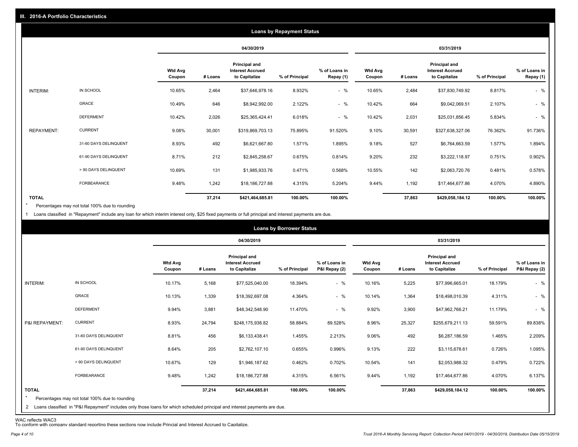|                   |                       |                          |         |                                                           | <b>Loans by Repayment Status</b> |                            |                          |         |                                                                  |                |                            |
|-------------------|-----------------------|--------------------------|---------|-----------------------------------------------------------|----------------------------------|----------------------------|--------------------------|---------|------------------------------------------------------------------|----------------|----------------------------|
|                   |                       |                          |         | 04/30/2019                                                |                                  |                            |                          |         | 03/31/2019                                                       |                |                            |
|                   |                       | <b>Wtd Avg</b><br>Coupon | # Loans | Principal and<br><b>Interest Accrued</b><br>to Capitalize | % of Principal                   | % of Loans in<br>Repay (1) | <b>Wtd Avg</b><br>Coupon | # Loans | <b>Principal and</b><br><b>Interest Accrued</b><br>to Capitalize | % of Principal | % of Loans in<br>Repay (1) |
| INTERIM:          | IN SCHOOL             | 10.65%                   | 2,464   | \$37,646,978.16                                           | 8.932%                           | $-$ %                      | 10.65%                   | 2,484   | \$37,830,749.92                                                  | 8.817%         | $-$ %                      |
|                   | GRACE                 | 10.49%                   | 646     | \$8,942,992.00                                            | 2.122%                           | $-$ %                      | 10.42%                   | 664     | \$9,042,069.51                                                   | 2.107%         | $-$ %                      |
|                   | <b>DEFERMENT</b>      | 10.42%                   | 2,026   | \$25,365,424.41                                           | 6.018%                           | $-$ %                      | 10.42%                   | 2,031   | \$25,031,856.45                                                  | 5.834%         | $-$ %                      |
| <b>REPAYMENT:</b> | <b>CURRENT</b>        | 9.08%                    | 30,001  | \$319,869,703.13                                          | 75.895%                          | 91.520%                    | 9.10%                    | 30,591  | \$327,638,327.06                                                 | 76.362%        | 91.736%                    |
|                   | 31-60 DAYS DELINQUENT | 8.93%                    | 492     | \$6,621,667.80                                            | 1.571%                           | 1.895%                     | 9.18%                    | 527     | \$6,764,663.59                                                   | 1.577%         | 1.894%                     |
|                   | 61-90 DAYS DELINQUENT | 8.71%                    | 212     | \$2,845,258.67                                            | 0.675%                           | 0.814%                     | 9.20%                    | 232     | \$3,222,118.97                                                   | 0.751%         | 0.902%                     |
|                   | > 90 DAYS DELINQUENT  | 10.69%                   | 131     | \$1,985,933.76                                            | 0.471%                           | 0.568%                     | 10.55%                   | 142     | \$2,063,720.76                                                   | 0.481%         | 0.578%                     |
|                   | FORBEARANCE           | 9.48%                    | 1,242   | \$18,186,727.88                                           | 4.315%                           | 5.204%                     | 9.44%                    | 1,192   | \$17,464,677.86                                                  | 4.070%         | 4.890%                     |
| <b>TOTAL</b>      |                       |                          | 37,214  | \$421,464,685.81                                          | 100.00%                          | 100.00%                    |                          | 37,863  | \$429,058,184.12                                                 | 100.00%        | 100.00%                    |

Percentages may not total 100% due to rounding  $\star$ 

1 Loans classified in "Repayment" include any loan for which interim interest only, \$25 fixed payments or full principal and interest payments are due.

| 04/30/2019<br>03/31/2019<br>Principal and<br><b>Principal and</b><br><b>Wtd Avg</b><br>% of Loans in<br><b>Wtd Avg</b><br><b>Interest Accrued</b><br><b>Interest Accrued</b><br>P&I Repay (2)<br># Loans<br>to Capitalize<br>% of Principal<br>to Capitalize<br>% of Principal<br>Coupon<br># Loans<br>Coupon<br>$-$ %<br>IN SCHOOL<br>10.17%<br>10.16%<br>INTERIM:<br>5,168<br>\$77,525,040.00<br>18.394%<br>5,225<br>\$77,996,665.01<br>18.179%<br>GRACE<br>$-$ %<br>10.13%<br>1,339<br>4.364%<br>10.14%<br>4.311%<br>\$18,392,697.08<br>1,364<br>\$18,498,010.39<br>$-$ %<br><b>DEFERMENT</b><br>3,881<br>11.470%<br>9.92%<br>11.179%<br>9.94%<br>3,900<br>\$48,342,548.90<br>\$47,962,766.21<br><b>CURRENT</b><br>8.96%<br>25,327<br>P&I REPAYMENT:<br>8.93%<br>24,794<br>58.884%<br>89.528%<br>\$255,679,211.13<br>59.591%<br>\$248,175,938.82<br>456<br>492<br>31-60 DAYS DELINQUENT<br>8.81%<br>1.455%<br>2.213%<br>9.06%<br>1.465%<br>\$6,133,438.41<br>\$6,287,186.59 |                                |
|--------------------------------------------------------------------------------------------------------------------------------------------------------------------------------------------------------------------------------------------------------------------------------------------------------------------------------------------------------------------------------------------------------------------------------------------------------------------------------------------------------------------------------------------------------------------------------------------------------------------------------------------------------------------------------------------------------------------------------------------------------------------------------------------------------------------------------------------------------------------------------------------------------------------------------------------------------------------------------|--------------------------------|
|                                                                                                                                                                                                                                                                                                                                                                                                                                                                                                                                                                                                                                                                                                                                                                                                                                                                                                                                                                                |                                |
|                                                                                                                                                                                                                                                                                                                                                                                                                                                                                                                                                                                                                                                                                                                                                                                                                                                                                                                                                                                | % of Loans in<br>P&I Repay (2) |
|                                                                                                                                                                                                                                                                                                                                                                                                                                                                                                                                                                                                                                                                                                                                                                                                                                                                                                                                                                                | $-$ %                          |
|                                                                                                                                                                                                                                                                                                                                                                                                                                                                                                                                                                                                                                                                                                                                                                                                                                                                                                                                                                                | $-$ %                          |
|                                                                                                                                                                                                                                                                                                                                                                                                                                                                                                                                                                                                                                                                                                                                                                                                                                                                                                                                                                                | $-$ %                          |
|                                                                                                                                                                                                                                                                                                                                                                                                                                                                                                                                                                                                                                                                                                                                                                                                                                                                                                                                                                                | 89.838%                        |
|                                                                                                                                                                                                                                                                                                                                                                                                                                                                                                                                                                                                                                                                                                                                                                                                                                                                                                                                                                                | 2.209%                         |
| 61-90 DAYS DELINQUENT<br>205<br>222<br>8.64%<br>0.655%<br>0.996%<br>9.13%<br>0.726%<br>\$2,762,107.10<br>\$3,115,678.61                                                                                                                                                                                                                                                                                                                                                                                                                                                                                                                                                                                                                                                                                                                                                                                                                                                        | 1.095%                         |
| > 90 DAYS DELINQUENT<br>10.67%<br>129<br>0.462%<br>141<br>0.479%<br>0.702%<br>10.54%<br>\$2,053,988.32<br>\$1,946,187.62                                                                                                                                                                                                                                                                                                                                                                                                                                                                                                                                                                                                                                                                                                                                                                                                                                                       | 0.722%                         |
| FORBEARANCE<br>9.48%<br>1,242<br>9.44%<br>1,192<br>4.070%<br>\$18,186,727.88<br>4.315%<br>6.561%<br>\$17,464,677.86                                                                                                                                                                                                                                                                                                                                                                                                                                                                                                                                                                                                                                                                                                                                                                                                                                                            | 6.137%                         |
| <b>TOTAL</b><br>37,214<br>100.00%<br>100.00%<br>37,863<br>100.00%<br>\$421,464,685.81<br>\$429,058,184.12<br>$\star$<br>Percentages may not total 100% due to rounding<br>2 Loans classified in "P&I Repayment" includes only those loans for which scheduled principal and interest payments are due.                                                                                                                                                                                                                                                                                                                                                                                                                                                                                                                                                                                                                                                                         | 100.00%                        |

WAC reflects WAC3 To conform with company standard reporting these sections now include Princial and Interest Accrued to Capitalize.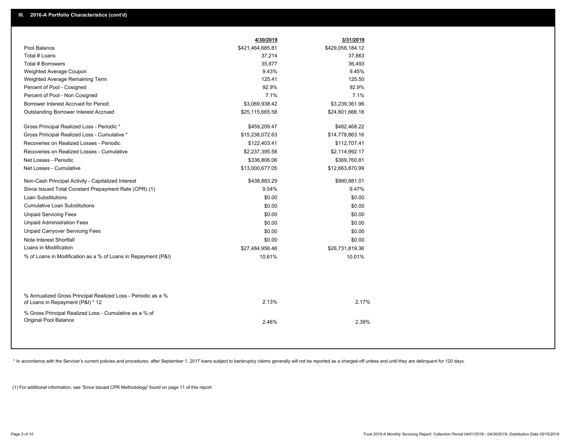|                                                                                                  | 4/30/2019        | 3/31/2019        |
|--------------------------------------------------------------------------------------------------|------------------|------------------|
| Pool Balance                                                                                     | \$421,464,685.81 | \$429,058,184.12 |
| Total # Loans                                                                                    | 37,214           | 37,863           |
| <b>Total # Borrowers</b>                                                                         | 35,877           | 36,493           |
| Weighted Average Coupon                                                                          | 9.43%            | 9.45%            |
| Weighted Average Remaining Term                                                                  | 125.41           | 125.50           |
| Percent of Pool - Cosigned                                                                       | 92.9%            | 92.9%            |
| Percent of Pool - Non Cosigned                                                                   | 7.1%             | 7.1%             |
| Borrower Interest Accrued for Period                                                             | \$3,069,938.42   | \$3,239,361.96   |
| <b>Outstanding Borrower Interest Accrued</b>                                                     | \$25,115,665.58  | \$24,801,666.18  |
| Gross Principal Realized Loss - Periodic *                                                       | \$459,209.47     | \$482,468.22     |
| Gross Principal Realized Loss - Cumulative *                                                     | \$15,238,072.63  | \$14,778,863.16  |
| Recoveries on Realized Losses - Periodic                                                         | \$122,403.41     | \$112,707.41     |
| Recoveries on Realized Losses - Cumulative                                                       | \$2,237,395.58   | \$2,114,992.17   |
| Net Losses - Periodic                                                                            | \$336,806.06     | \$369,760.81     |
| Net Losses - Cumulative                                                                          | \$13,000,677.05  | \$12,663,870.99  |
| Non-Cash Principal Activity - Capitalized Interest                                               | \$438,883.29     | \$990,881.01     |
| Since Issued Total Constant Prepayment Rate (CPR) (1)                                            | 9.54%            | 9.47%            |
| Loan Substitutions                                                                               | \$0.00           | \$0.00           |
| <b>Cumulative Loan Substitutions</b>                                                             | \$0.00           | \$0.00           |
| <b>Unpaid Servicing Fees</b>                                                                     | \$0.00           | \$0.00           |
| <b>Unpaid Administration Fees</b>                                                                | \$0.00           | \$0.00           |
| <b>Unpaid Carryover Servicing Fees</b>                                                           | \$0.00           | \$0.00           |
| Note Interest Shortfall                                                                          | \$0.00           | \$0.00           |
| Loans in Modification                                                                            | \$27,484,956.46  | \$26,731,819.36  |
| % of Loans in Modification as a % of Loans in Repayment (P&I)                                    | 10.61%           | 10.01%           |
|                                                                                                  |                  |                  |
| % Annualized Gross Principal Realized Loss - Periodic as a %<br>of Loans in Repayment (P&I) * 12 | 2.13%            | 2.17%            |
| % Gross Principal Realized Loss - Cumulative as a % of<br>Original Pool Balance                  | 2.46%            | 2.39%            |
|                                                                                                  |                  |                  |

\* In accordance with the Servicer's current policies and procedures, after September 1, 2017 loans subject to bankruptcy claims generally will not be reported as a charged-off unless and until they are delinquent for 120 d

(1) For additional information, see 'Since Issued CPR Methodology' found on page 11 of this report.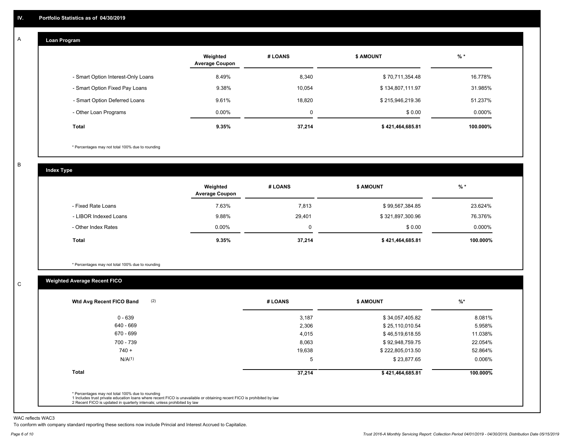#### **Loan Program**  A

|                                    | Weighted<br><b>Average Coupon</b> | # LOANS     | <b>\$ AMOUNT</b> | $%$ *     |
|------------------------------------|-----------------------------------|-------------|------------------|-----------|
| - Smart Option Interest-Only Loans | 8.49%                             | 8,340       | \$70,711,354.48  | 16.778%   |
| - Smart Option Fixed Pay Loans     | 9.38%                             | 10,054      | \$134,807,111.97 | 31.985%   |
| - Smart Option Deferred Loans      | 9.61%                             | 18.820      | \$215,946,219.36 | 51.237%   |
| - Other Loan Programs              | $0.00\%$                          | $\mathbf 0$ | \$0.00           | $0.000\%$ |
| <b>Total</b>                       | 9.35%                             | 37.214      | \$421,464,685.81 | 100.000%  |

\* Percentages may not total 100% due to rounding

B

C

**Index Type**

|                       | Weighted<br><b>Average Coupon</b> | # LOANS | <b>\$ AMOUNT</b> | $%$ *     |
|-----------------------|-----------------------------------|---------|------------------|-----------|
| - Fixed Rate Loans    | 7.63%                             | 7,813   | \$99,567,384.85  | 23.624%   |
| - LIBOR Indexed Loans | 9.88%                             | 29,401  | \$321,897,300.96 | 76.376%   |
| - Other Index Rates   | $0.00\%$                          |         | \$0.00           | $0.000\%$ |
| <b>Total</b>          | 9.35%                             | 37,214  | \$421,464,685.81 | 100.000%  |

\* Percentages may not total 100% due to rounding

# **Weighted Average Recent FICO**

| $0 - 639$          | 3,187  |                  |          |
|--------------------|--------|------------------|----------|
|                    |        | \$34,057,405.82  | 8.081%   |
| 640 - 669          | 2,306  | \$25,110,010.54  | 5.958%   |
| 670 - 699          | 4,015  | \$46,519,618.55  | 11.038%  |
| 700 - 739          | 8,063  | \$92,948,759.75  | 22.054%  |
| $740 +$            | 19,638 | \$222,805,013.50 | 52.864%  |
| N/A <sup>(1)</sup> | 5      | \$23,877.65      | 0.006%   |
| <b>Total</b>       | 37,214 | \$421,464,685.81 | 100.000% |

WAC reflects WAC3

To conform with company standard reporting these sections now include Princial and Interest Accrued to Capitalize.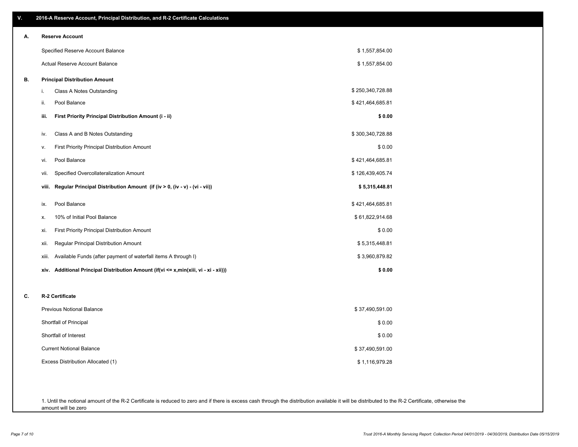| ۷. | 2016-A Reserve Account, Principal Distribution, and R-2 Certificate Calculations        |                  |  |
|----|-----------------------------------------------------------------------------------------|------------------|--|
| А. | <b>Reserve Account</b>                                                                  |                  |  |
|    | Specified Reserve Account Balance                                                       | \$1,557,854.00   |  |
|    | Actual Reserve Account Balance                                                          | \$1,557,854.00   |  |
| В. | <b>Principal Distribution Amount</b>                                                    |                  |  |
|    | Class A Notes Outstanding<br>j.                                                         | \$250,340,728.88 |  |
|    | Pool Balance<br>ii.                                                                     | \$421,464,685.81 |  |
|    | First Priority Principal Distribution Amount (i - ii)<br>iii.                           | \$0.00           |  |
|    | Class A and B Notes Outstanding<br>iv.                                                  | \$300,340,728.88 |  |
|    | First Priority Principal Distribution Amount<br>v.                                      | \$0.00           |  |
|    | Pool Balance<br>vi.                                                                     | \$421,464,685.81 |  |
|    | Specified Overcollateralization Amount<br>vii.                                          | \$126,439,405.74 |  |
|    | Regular Principal Distribution Amount (if (iv > 0, (iv - v) - (vi - vii))<br>viii.      | \$5,315,448.81   |  |
|    | Pool Balance<br>ix.                                                                     | \$421,464,685.81 |  |
|    | 10% of Initial Pool Balance<br>х.                                                       | \$61,822,914.68  |  |
|    | First Priority Principal Distribution Amount<br>xi.                                     | \$0.00           |  |
|    | Regular Principal Distribution Amount<br>xii.                                           | \$5,315,448.81   |  |
|    | Available Funds (after payment of waterfall items A through I)<br>xiii.                 | \$3,960,879.82   |  |
|    | Additional Principal Distribution Amount (if(vi <= x,min(xiii, vi - xi - xii)))<br>xiv. | \$0.00           |  |
| C. | R-2 Certificate                                                                         |                  |  |
|    | <b>Previous Notional Balance</b>                                                        | \$37,490,591.00  |  |
|    | Shortfall of Principal                                                                  | \$0.00           |  |
|    | Shortfall of Interest                                                                   | \$0.00           |  |
|    | <b>Current Notional Balance</b>                                                         | \$37,490,591.00  |  |
|    | Excess Distribution Allocated (1)                                                       | \$1,116,979.28   |  |
|    |                                                                                         |                  |  |
|    |                                                                                         |                  |  |

1. Until the notional amount of the R-2 Certificate is reduced to zero and if there is excess cash through the distribution available it will be distributed to the R-2 Certificate, otherwise the amount will be zero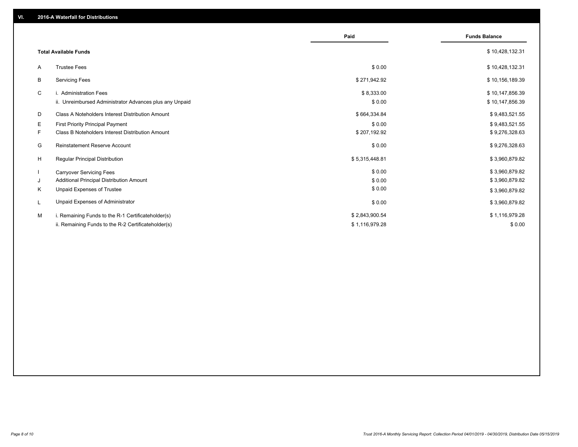|    |                                                         | Paid           | <b>Funds Balance</b> |
|----|---------------------------------------------------------|----------------|----------------------|
|    | <b>Total Available Funds</b>                            |                | \$10,428,132.31      |
| A  | <b>Trustee Fees</b>                                     | \$0.00         | \$10,428,132.31      |
| B  | <b>Servicing Fees</b>                                   | \$271,942.92   | \$10,156,189.39      |
| C  | i. Administration Fees                                  | \$8,333.00     | \$10,147,856.39      |
|    | ii. Unreimbursed Administrator Advances plus any Unpaid | \$0.00         | \$10,147,856.39      |
| D  | Class A Noteholders Interest Distribution Amount        | \$664,334.84   | \$9,483,521.55       |
| E. | <b>First Priority Principal Payment</b>                 | \$0.00         | \$9,483,521.55       |
| F. | Class B Noteholders Interest Distribution Amount        | \$207,192.92   | \$9,276,328.63       |
| G  | Reinstatement Reserve Account                           | \$0.00         | \$9,276,328.63       |
| H  | Regular Principal Distribution                          | \$5,315,448.81 | \$3,960,879.82       |
|    | <b>Carryover Servicing Fees</b>                         | \$0.00         | \$3,960,879.82       |
| J  | Additional Principal Distribution Amount                | \$0.00         | \$3,960,879.82       |
| Κ  | Unpaid Expenses of Trustee                              | \$0.00         | \$3,960,879.82       |
|    | Unpaid Expenses of Administrator                        | \$0.00         | \$3,960,879.82       |
| м  | i. Remaining Funds to the R-1 Certificateholder(s)      | \$2,843,900.54 | \$1,116,979.28       |
|    | ii. Remaining Funds to the R-2 Certificateholder(s)     | \$1,116,979.28 | \$0.00               |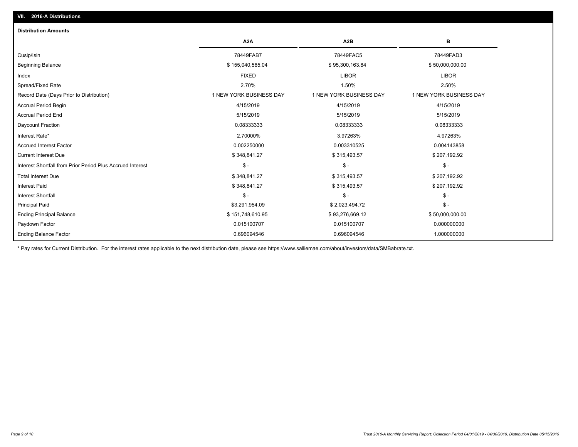| <b>Distribution Amounts</b>                                |                         |                         |                         |
|------------------------------------------------------------|-------------------------|-------------------------|-------------------------|
|                                                            | A <sub>2</sub> A        | A <sub>2</sub> B        | в                       |
| Cusip/Isin                                                 | 78449FAB7               | 78449FAC5               | 78449FAD3               |
| <b>Beginning Balance</b>                                   | \$155,040,565.04        | \$95,300,163.84         | \$50,000,000.00         |
| Index                                                      | <b>FIXED</b>            | <b>LIBOR</b>            | <b>LIBOR</b>            |
| Spread/Fixed Rate                                          | 2.70%                   | 1.50%                   | 2.50%                   |
| Record Date (Days Prior to Distribution)                   | 1 NEW YORK BUSINESS DAY | 1 NEW YORK BUSINESS DAY | 1 NEW YORK BUSINESS DAY |
| <b>Accrual Period Begin</b>                                | 4/15/2019               | 4/15/2019               | 4/15/2019               |
| <b>Accrual Period End</b>                                  | 5/15/2019               | 5/15/2019               | 5/15/2019               |
| Daycount Fraction                                          | 0.08333333              | 0.08333333              | 0.08333333              |
| Interest Rate*                                             | 2.70000%                | 3.97263%                | 4.97263%                |
| <b>Accrued Interest Factor</b>                             | 0.002250000             | 0.003310525             | 0.004143858             |
| <b>Current Interest Due</b>                                | \$348,841.27            | \$315,493.57            | \$207,192.92            |
| Interest Shortfall from Prior Period Plus Accrued Interest | $\mathsf{\$}$ -         | $\mathsf{\$}$ -         | $\mathsf{\$}$ -         |
| <b>Total Interest Due</b>                                  | \$348,841.27            | \$315,493.57            | \$207,192.92            |
| <b>Interest Paid</b>                                       | \$348,841.27            | \$315,493.57            | \$207,192.92            |
| <b>Interest Shortfall</b>                                  | $\mathsf{\$}$ -         | $\mathsf{\$}$ -         | $$ -$                   |
| <b>Principal Paid</b>                                      | \$3,291,954.09          | \$2,023,494.72          | $$ -$                   |
| <b>Ending Principal Balance</b>                            | \$151,748,610.95        | \$93,276,669.12         | \$50,000,000.00         |
| Paydown Factor                                             | 0.015100707             | 0.015100707             | 0.000000000             |
| <b>Ending Balance Factor</b>                               | 0.696094546             | 0.696094546             | 1.000000000             |

\* Pay rates for Current Distribution. For the interest rates applicable to the next distribution date, please see https://www.salliemae.com/about/investors/data/SMBabrate.txt.

**VII. 2016-A Distributions**